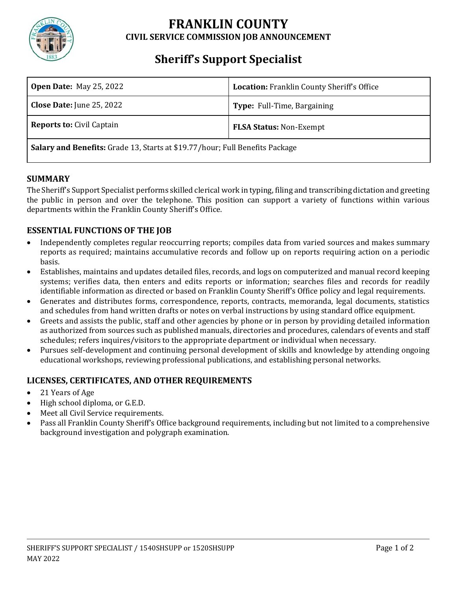

## **FRANKLIN COUNTY CIVIL SERVICE COMMISSION JOB ANNOUNCEMENT**

# **Sheriff's Support Specialist**

| <b>Open Date: May 25, 2022</b>                                                      | Location: Franklin County Sheriff's Office |
|-------------------------------------------------------------------------------------|--------------------------------------------|
| <b>Close Date:</b> June 25, 2022                                                    | Type: Full-Time, Bargaining                |
| <b>Reports to: Civil Captain</b>                                                    | <b>FLSA Status: Non-Exempt</b>             |
| <b>Salary and Benefits:</b> Grade 13, Starts at \$19.77/hour; Full Benefits Package |                                            |

#### **SUMMARY**

The Sheriff's Support Specialist performs skilled clerical work in typing, filing and transcribing dictation and greeting the public in person and over the telephone. This position can support a variety of functions within various departments within the Franklin County Sheriff's Office.

### **ESSENTIAL FUNCTIONS OF THE JOB**

- Independently completes regular reoccurring reports; compiles data from varied sources and makes summary reports as required; maintains accumulative records and follow up on reports requiring action on a periodic basis.
- Establishes, maintains and updates detailed files, records, and logs on computerized and manual record keeping systems; verifies data, then enters and edits reports or information; searches files and records for readily identifiable information as directed or based on Franklin County Sheriff's Office policy and legal requirements.
- Generates and distributes forms, correspondence, reports, contracts, memoranda, legal documents, statistics and schedules from hand written drafts or notes on verbal instructions by using standard office equipment.
- Greets and assists the public, staff and other agencies by phone or in person by providing detailed information as authorized from sources such as published manuals, directories and procedures, calendars of events and staff schedules; refers inquires/visitors to the appropriate department or individual when necessary.
- Pursues self-development and continuing personal development of skills and knowledge by attending ongoing educational workshops, reviewing professional publications, and establishing personal networks.

#### **LICENSES, CERTIFICATES, AND OTHER REQUIREMENTS**

- 21 Years of Age
- High school diploma, or G.E.D.
- Meet all Civil Service requirements.
- Pass all Franklin County Sheriff's Office background requirements, including but not limited to a comprehensive background investigation and polygraph examination.